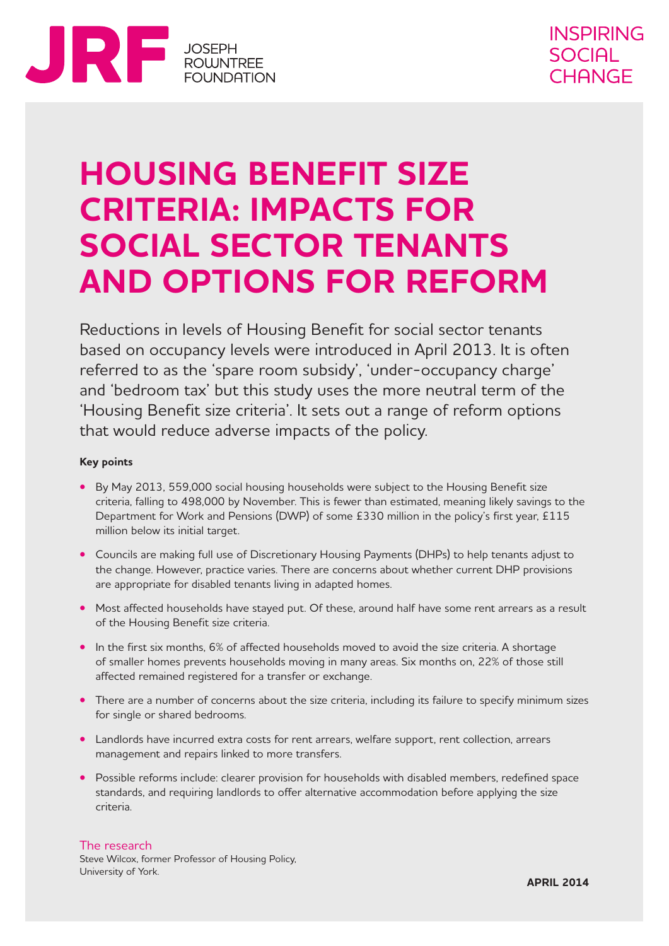

## **HOUSING BENEFIT SIZE CRITERIA: IMPACTS FOR SOCIAL SECTOR TENANTS AND OPTIONS FOR REFORM**

Reductions in levels of Housing Benefit for social sector tenants based on occupancy levels were introduced in April 2013. It is often referred to as the 'spare room subsidy', 'under-occupancy charge' and 'bedroom tax' but this study uses the more neutral term of the 'Housing Benefit size criteria'. It sets out a range of reform options that would reduce adverse impacts of the policy.

#### **Key points**

- **•** By May 2013, 559,000 social housing households were subject to the Housing Benefit size criteria, falling to 498,000 by November. This is fewer than estimated, meaning likely savings to the Department for Work and Pensions (DWP) of some £330 million in the policy's first year, £115 million below its initial target.
- **•** Councils are making full use of Discretionary Housing Payments (DHPs) to help tenants adjust to the change. However, practice varies. There are concerns about whether current DHP provisions are appropriate for disabled tenants living in adapted homes.
- **•** Most affected households have stayed put. Of these, around half have some rent arrears as a result of the Housing Benefit size criteria.
- In the first six months, 6% of affected households moved to avoid the size criteria. A shortage of smaller homes prevents households moving in many areas. Six months on, 22% of those still affected remained registered for a transfer or exchange.
- There are a number of concerns about the size criteria, including its failure to specify minimum sizes for single or shared bedrooms.
- **•** Landlords have incurred extra costs for rent arrears, welfare support, rent collection, arrears management and repairs linked to more transfers.
- **•** Possible reforms include: clearer provision for households with disabled members, redefined space standards, and requiring landlords to offer alternative accommodation before applying the size criteria.

#### The research

Steve Wilcox, former Professor of Housing Policy, University of York.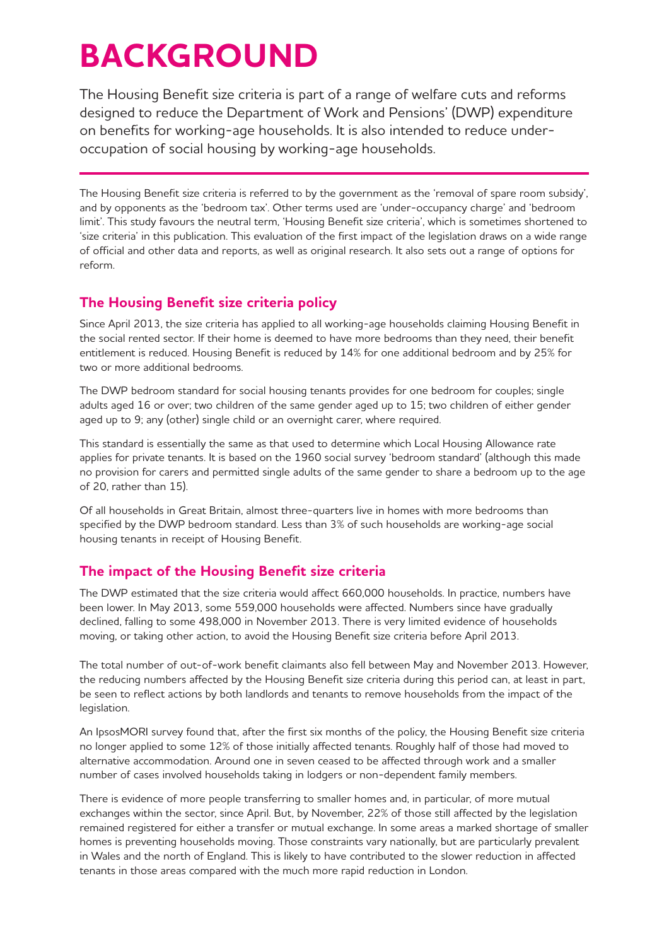# **BACKGROUND**

The Housing Benefit size criteria is part of a range of welfare cuts and reforms designed to reduce the Department of Work and Pensions' (DWP) expenditure on benefits for working-age households. It is also intended to reduce underoccupation of social housing by working-age households.

The Housing Benefit size criteria is referred to by the government as the 'removal of spare room subsidy', and by opponents as the 'bedroom tax'. Other terms used are 'under-occupancy charge' and 'bedroom limit'. This study favours the neutral term, 'Housing Benefit size criteria', which is sometimes shortened to 'size criteria' in this publication. This evaluation of the first impact of the legislation draws on a wide range of official and other data and reports, as well as original research. It also sets out a range of options for reform.

## **The Housing Benefit size criteria policy**

Since April 2013, the size criteria has applied to all working-age households claiming Housing Benefit in the social rented sector. If their home is deemed to have more bedrooms than they need, their benefit entitlement is reduced. Housing Benefit is reduced by 14% for one additional bedroom and by 25% for two or more additional bedrooms.

The DWP bedroom standard for social housing tenants provides for one bedroom for couples; single adults aged 16 or over; two children of the same gender aged up to 15; two children of either gender aged up to 9; any (other) single child or an overnight carer, where required.

This standard is essentially the same as that used to determine which Local Housing Allowance rate applies for private tenants. It is based on the 1960 social survey 'bedroom standard' (although this made no provision for carers and permitted single adults of the same gender to share a bedroom up to the age of 20, rather than 15).

Of all households in Great Britain, almost three-quarters live in homes with more bedrooms than specified by the DWP bedroom standard. Less than 3% of such households are working-age social housing tenants in receipt of Housing Benefit.

## **The impact of the Housing Benefit size criteria**

The DWP estimated that the size criteria would affect 660,000 households. In practice, numbers have been lower. In May 2013, some 559,000 households were affected. Numbers since have gradually declined, falling to some 498,000 in November 2013. There is very limited evidence of households moving, or taking other action, to avoid the Housing Benefit size criteria before April 2013.

The total number of out-of-work benefit claimants also fell between May and November 2013. However, the reducing numbers affected by the Housing Benefit size criteria during this period can, at least in part, be seen to reflect actions by both landlords and tenants to remove households from the impact of the legislation.

An IpsosMORI survey found that, after the first six months of the policy, the Housing Benefit size criteria no longer applied to some 12% of those initially affected tenants. Roughly half of those had moved to alternative accommodation. Around one in seven ceased to be affected through work and a smaller number of cases involved households taking in lodgers or non-dependent family members.

There is evidence of more people transferring to smaller homes and, in particular, of more mutual exchanges within the sector, since April. But, by November, 22% of those still affected by the legislation remained registered for either a transfer or mutual exchange. In some areas a marked shortage of smaller homes is preventing households moving. Those constraints vary nationally, but are particularly prevalent in Wales and the north of England. This is likely to have contributed to the slower reduction in affected tenants in those areas compared with the much more rapid reduction in London.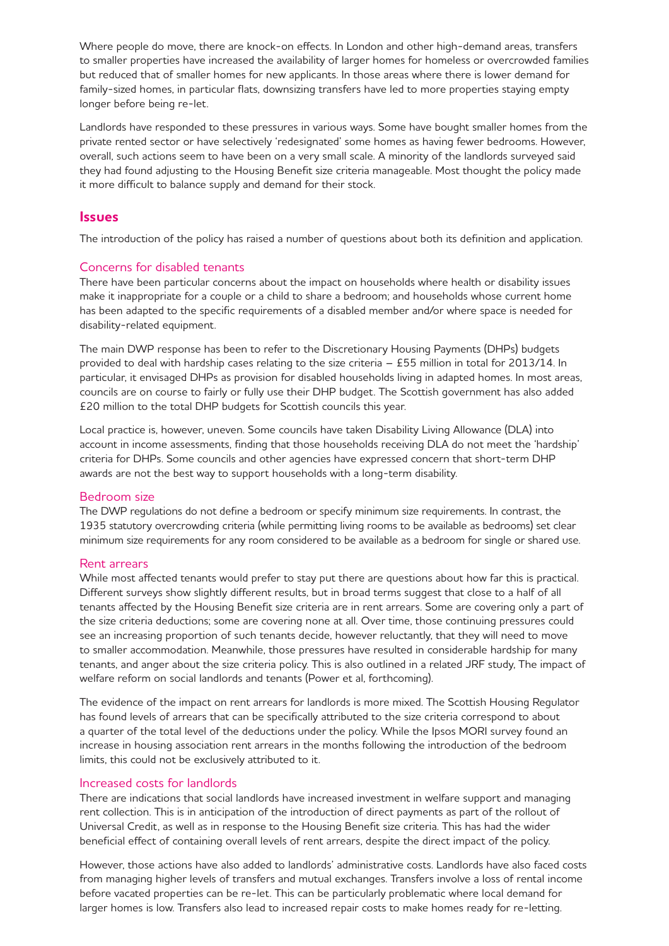Where people do move, there are knock-on effects. In London and other high-demand areas, transfers to smaller properties have increased the availability of larger homes for homeless or overcrowded families but reduced that of smaller homes for new applicants. In those areas where there is lower demand for family-sized homes, in particular flats, downsizing transfers have led to more properties staying empty longer before being re-let.

Landlords have responded to these pressures in various ways. Some have bought smaller homes from the private rented sector or have selectively 'redesignated' some homes as having fewer bedrooms. However, overall, such actions seem to have been on a very small scale. A minority of the landlords surveyed said they had found adjusting to the Housing Benefit size criteria manageable. Most thought the policy made it more difficult to balance supply and demand for their stock.

#### **Issues**

The introduction of the policy has raised a number of questions about both its definition and application.

#### Concerns for disabled tenants

There have been particular concerns about the impact on households where health or disability issues make it inappropriate for a couple or a child to share a bedroom; and households whose current home has been adapted to the specific requirements of a disabled member and/or where space is needed for disability-related equipment.

The main DWP response has been to refer to the Discretionary Housing Payments (DHPs) budgets provided to deal with hardship cases relating to the size criteria – £55 million in total for 2013/14. In particular, it envisaged DHPs as provision for disabled households living in adapted homes. In most areas, councils are on course to fairly or fully use their DHP budget. The Scottish government has also added £20 million to the total DHP budgets for Scottish councils this year.

Local practice is, however, uneven. Some councils have taken Disability Living Allowance (DLA) into account in income assessments, finding that those households receiving DLA do not meet the 'hardship' criteria for DHPs. Some councils and other agencies have expressed concern that short-term DHP awards are not the best way to support households with a long-term disability.

#### Bedroom size

The DWP regulations do not define a bedroom or specify minimum size requirements. In contrast, the 1935 statutory overcrowding criteria (while permitting living rooms to be available as bedrooms) set clear minimum size requirements for any room considered to be available as a bedroom for single or shared use.

#### Rent arrears

While most affected tenants would prefer to stay put there are questions about how far this is practical. Different surveys show slightly different results, but in broad terms suggest that close to a half of all tenants affected by the Housing Benefit size criteria are in rent arrears. Some are covering only a part of the size criteria deductions; some are covering none at all. Over time, those continuing pressures could see an increasing proportion of such tenants decide, however reluctantly, that they will need to move to smaller accommodation. Meanwhile, those pressures have resulted in considerable hardship for many tenants, and anger about the size criteria policy. This is also outlined in a related JRF study, The impact of welfare reform on social landlords and tenants (Power et al, forthcoming).

The evidence of the impact on rent arrears for landlords is more mixed. The Scottish Housing Regulator has found levels of arrears that can be specifically attributed to the size criteria correspond to about a quarter of the total level of the deductions under the policy. While the Ipsos MORI survey found an increase in housing association rent arrears in the months following the introduction of the bedroom limits, this could not be exclusively attributed to it.

#### Increased costs for landlords

There are indications that social landlords have increased investment in welfare support and managing rent collection. This is in anticipation of the introduction of direct payments as part of the rollout of Universal Credit, as well as in response to the Housing Benefit size criteria. This has had the wider beneficial effect of containing overall levels of rent arrears, despite the direct impact of the policy.

However, those actions have also added to landlords' administrative costs. Landlords have also faced costs from managing higher levels of transfers and mutual exchanges. Transfers involve a loss of rental income before vacated properties can be re-let. This can be particularly problematic where local demand for larger homes is low. Transfers also lead to increased repair costs to make homes ready for re-letting.